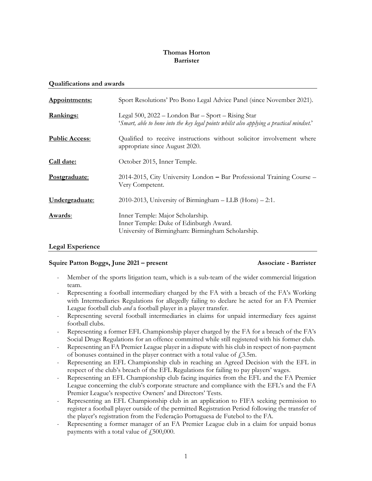### Thomas Horton Barrister

### Qualifications and awards

| Appointments:         | Sport Resolutions' Pro Bono Legal Advice Panel (since November 2021).                                                                           |
|-----------------------|-------------------------------------------------------------------------------------------------------------------------------------------------|
| <u>Rankings:</u>      | Legal 500, 2022 - London Bar - Sport - Rising Star<br>'Smart, able to hone into the key legal points whilst also applying a practical mindset.' |
| <b>Public Access:</b> | Qualified to receive instructions without solicitor involvement where<br>appropriate since August 2020.                                         |
| Call date:            | October 2015, Inner Temple.                                                                                                                     |
| Postgraduate:         | 2014-2015, City University London – Bar Professional Training Course –<br>Very Competent.                                                       |
| Undergraduate:        | 2010-2013, University of Birmingham - LLB (Hons) - 2:1.                                                                                         |
| Awards:               | Inner Temple: Major Scholarship.<br>Inner Temple: Duke of Edinburgh Award.<br>University of Birmingham: Birmingham Scholarship.                 |

### Legal Experience

### Squire Patton Boggs, June 2021 – present Associate - Barrister

- Member of the sports litigation team, which is a sub-team of the wider commercial litigation team.
- Representing a football intermediary charged by the FA with a breach of the FA's Working with Intermediaries Regulations for allegedly failing to declare he acted for an FA Premier League football club and a football player in a player transfer.
- Representing several football intermediaries in claims for unpaid intermediary fees against football clubs.
- Representing a former EFL Championship player charged by the FA for a breach of the FA's Social Drugs Regulations for an offence committed while still registered with his former club.
- Representing an FA Premier League player in a dispute with his club in respect of non-payment of bonuses contained in the player contract with a total value of  $f$ , 3.5m.
- Representing an EFL Championship club in reaching an Agreed Decision with the EFL in respect of the club's breach of the EFL Regulations for failing to pay players' wages.
- Representing an EFL Championship club facing inquiries from the EFL and the FA Premier League concerning the club's corporate structure and compliance with the EFL's and the FA Premier League's respective Owners' and Directors' Tests.
- Representing an EFL Championship club in an application to FIFA seeking permission to register a football player outside of the permitted Registration Period following the transfer of the player's registration from the Federação Portuguesa de Futebol to the FA.
- Representing a former manager of an FA Premier League club in a claim for unpaid bonus payments with a total value of  $\text{\emph{f}}500,000$ .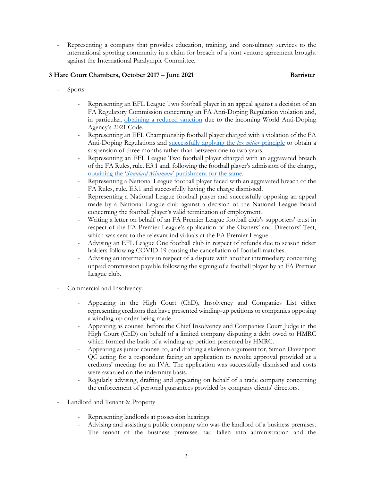Representing a company that provides education, training, and consultancy services to the international sporting community in a claim for breach of a joint venture agreement brought against the International Paralympic Committee.

# 3 Hare Court Chambers, October 2017 – June 2021 Barrister

- Sports:
	- Representing an EFL League Two football player in an appeal against a decision of an FA Regulatory Commission concerning an FA Anti-Doping Regulation violation and, in particular, obtaining a reduced sanction due to the incoming World Anti-Doping Agency's 2021 Code.
	- Representing an EFL Championship football player charged with a violation of the FA Anti-Doping Regulations and successfully applying the *lex mitior* principle to obtain a suspension of three months rather than between one to two years.
	- Representing an EFL League Two football player charged with an aggravated breach of the FA Rules, rule. E3.1 and, following the football player's admission of the charge, obtaining the 'Standard Minimum' punishment for the same.
	- Representing a National League football player faced with an aggravated breach of the FA Rules, rule. E3.1 and successfully having the charge dismissed.
	- Representing a National League football player and successfully opposing an appeal made by a National League club against a decision of the National League Board concerning the football player's valid termination of employment.
	- Writing a letter on behalf of an FA Premier League football club's supporters' trust in respect of the FA Premier League's application of the Owners' and Directors' Test, which was sent to the relevant individuals at the FA Premier League.
	- Advising an EFL League One football club in respect of refunds due to season ticket holders following COVID-19 causing the cancellation of football matches.
	- Advising an intermediary in respect of a dispute with another intermediary concerning unpaid commission payable following the signing of a football player by an FA Premier League club.
- Commercial and Insolvency:
	- Appearing in the High Court (ChD), Insolvency and Companies List either representing creditors that have presented winding-up petitions or companies opposing a winding-up order being made.
	- Appearing as counsel before the Chief Insolvency and Companies Court Judge in the High Court (ChD) on behalf of a limited company disputing a debt owed to HMRC which formed the basis of a winding-up petition presented by HMRC.
	- Appearing as junior counsel to, and drafting a skeleton argument for, Simon Davenport QC acting for a respondent facing an application to revoke approval provided at a creditors' meeting for an IVA. The application was successfully dismissed and costs were awarded on the indemnity basis.
	- Regularly advising, drafting and appearing on behalf of a trade company concerning the enforcement of personal guarantees provided by company clients' directors.
- Landlord and Tenant & Property
	- Representing landlords at possession hearings.
	- Advising and assisting a public company who was the landlord of a business premises. The tenant of the business premises had fallen into administration and the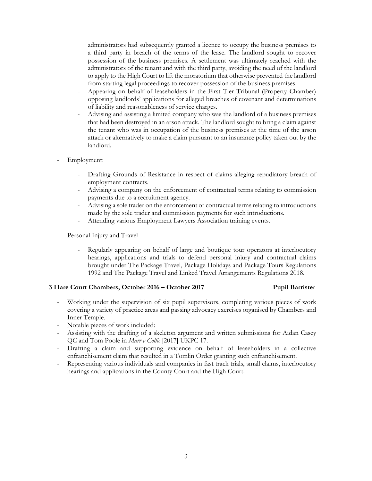administrators had subsequently granted a licence to occupy the business premises to a third party in breach of the terms of the lease. The landlord sought to recover possession of the business premises. A settlement was ultimately reached with the administrators of the tenant and with the third party, avoiding the need of the landlord to apply to the High Court to lift the moratorium that otherwise prevented the landlord from starting legal proceedings to recover possession of the business premises.

- Appearing on behalf of leaseholders in the First Tier Tribunal (Property Chamber) opposing landlords' applications for alleged breaches of covenant and determinations of liability and reasonableness of service charges.
- Advising and assisting a limited company who was the landlord of a business premises that had been destroyed in an arson attack. The landlord sought to bring a claim against the tenant who was in occupation of the business premises at the time of the arson attack or alternatively to make a claim pursuant to an insurance policy taken out by the landlord.
- Employment:
	- Drafting Grounds of Resistance in respect of claims alleging repudiatory breach of employment contracts.
	- Advising a company on the enforcement of contractual terms relating to commission payments due to a recruitment agency.
	- Advising a sole trader on the enforcement of contractual terms relating to introductions made by the sole trader and commission payments for such introductions.
	- Attending various Employment Lawyers Association training events.
- Personal Injury and Travel
	- Regularly appearing on behalf of large and boutique tour operators at interlocutory hearings, applications and trials to defend personal injury and contractual claims brought under The Package Travel, Package Holidays and Package Tours Regulations 1992 and The Package Travel and Linked Travel Arrangements Regulations 2018.

### 3 Hare Court Chambers, October 2016 – October 2017 Pupil Barrister

- Working under the supervision of six pupil supervisors, completing various pieces of work covering a variety of practice areas and passing advocacy exercises organised by Chambers and Inner Temple.
- Notable pieces of work included:
- Assisting with the drafting of a skeleton argument and written submissions for Aidan Casey QC and Tom Poole in Marr v Collie [2017] UKPC 17.
- Drafting a claim and supporting evidence on behalf of leaseholders in a collective enfranchisement claim that resulted in a Tomlin Order granting such enfranchisement.
- Representing various individuals and companies in fast track trials, small claims, interlocutory hearings and applications in the County Court and the High Court.